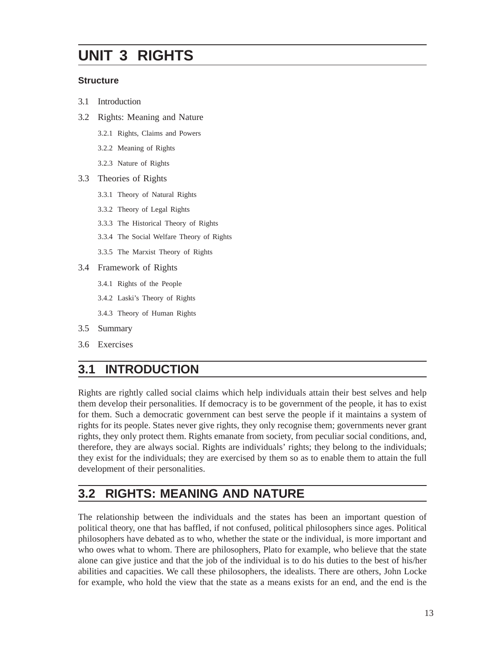# **UNIT 3 RIGHTS**

#### **Structure**

- 3.1 Introduction
- 3.2 Rights: Meaning and Nature
	- 3.2.1 Rights, Claims and Powers
	- 3.2.2 Meaning of Rights
	- 3.2.3 Nature of Rights
- 3.3 Theories of Rights
	- 3.3.1 Theory of Natural Rights
	- 3.3.2 Theory of Legal Rights
	- 3.3.3 The Historical Theory of Rights
	- 3.3.4 The Social Welfare Theory of Rights
	- 3.3.5 The Marxist Theory of Rights
- 3.4 Framework of Rights
	- 3.4.1 Rights of the People
	- 3.4.2 Laski's Theory of Rights
	- 3.4.3 Theory of Human Rights
- 3.5 Summary
- 3.6 Exercises

### **3.1 INTRODUCTION**

Rights are rightly called social claims which help individuals attain their best selves and help them develop their personalities. If democracy is to be government of the people, it has to exist for them. Such a democratic government can best serve the people if it maintains a system of rights for its people. States never give rights, they only recognise them; governments never grant rights, they only protect them. Rights emanate from society, from peculiar social conditions, and, therefore, they are always social. Rights are individuals' rights; they belong to the individuals; they exist for the individuals; they are exercised by them so as to enable them to attain the full development of their personalities.

### **3.2 RIGHTS: MEANING AND NATURE**

The relationship between the individuals and the states has been an important question of political theory, one that has baffled, if not confused, political philosophers since ages. Political philosophers have debated as to who, whether the state or the individual, is more important and who owes what to whom. There are philosophers, Plato for example, who believe that the state alone can give justice and that the job of the individual is to do his duties to the best of his/her abilities and capacities. We call these philosophers, the idealists. There are others, John Locke for example, who hold the view that the state as a means exists for an end, and the end is the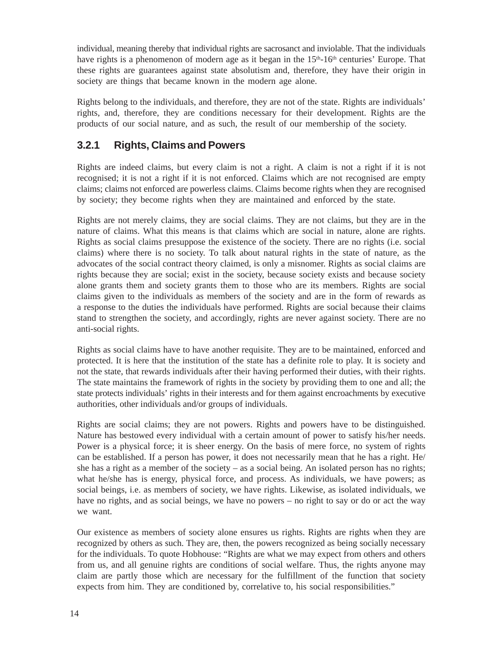individual, meaning thereby that individual rights are sacrosanct and inviolable. That the individuals have rights is a phenomenon of modern age as it began in the  $15<sup>th</sup>$ -16<sup>th</sup> centuries' Europe. That these rights are guarantees against state absolutism and, therefore, they have their origin in society are things that became known in the modern age alone.

Rights belong to the individuals, and therefore, they are not of the state. Rights are individuals' rights, and, therefore, they are conditions necessary for their development. Rights are the products of our social nature, and as such, the result of our membership of the society.

#### **3.2.1 Rights, Claims and Powers**

Rights are indeed claims, but every claim is not a right. A claim is not a right if it is not recognised; it is not a right if it is not enforced. Claims which are not recognised are empty claims; claims not enforced are powerless claims. Claims become rights when they are recognised by society; they become rights when they are maintained and enforced by the state.

Rights are not merely claims, they are social claims. They are not claims, but they are in the nature of claims. What this means is that claims which are social in nature, alone are rights. Rights as social claims presuppose the existence of the society. There are no rights (i.e. social claims) where there is no society. To talk about natural rights in the state of nature, as the advocates of the social contract theory claimed, is only a misnomer. Rights as social claims are rights because they are social; exist in the society, because society exists and because society alone grants them and society grants them to those who are its members. Rights are social claims given to the individuals as members of the society and are in the form of rewards as a response to the duties the individuals have performed. Rights are social because their claims stand to strengthen the society, and accordingly, rights are never against society. There are no anti-social rights.

Rights as social claims have to have another requisite. They are to be maintained, enforced and protected. It is here that the institution of the state has a definite role to play. It is society and not the state, that rewards individuals after their having performed their duties, with their rights. The state maintains the framework of rights in the society by providing them to one and all; the state protects individuals' rights in their interests and for them against encroachments by executive authorities, other individuals and/or groups of individuals.

Rights are social claims; they are not powers. Rights and powers have to be distinguished. Nature has bestowed every individual with a certain amount of power to satisfy his/her needs. Power is a physical force; it is sheer energy. On the basis of mere force, no system of rights can be established. If a person has power, it does not necessarily mean that he has a right. He/ she has a right as a member of the society – as a social being. An isolated person has no rights; what he/she has is energy, physical force, and process. As individuals, we have powers; as social beings, i.e. as members of society, we have rights. Likewise, as isolated individuals, we have no rights, and as social beings, we have no powers – no right to say or do or act the way we want.

Our existence as members of society alone ensures us rights. Rights are rights when they are recognized by others as such. They are, then, the powers recognized as being socially necessary for the individuals. To quote Hobhouse: "Rights are what we may expect from others and others from us, and all genuine rights are conditions of social welfare. Thus, the rights anyone may claim are partly those which are necessary for the fulfillment of the function that society expects from him. They are conditioned by, correlative to, his social responsibilities."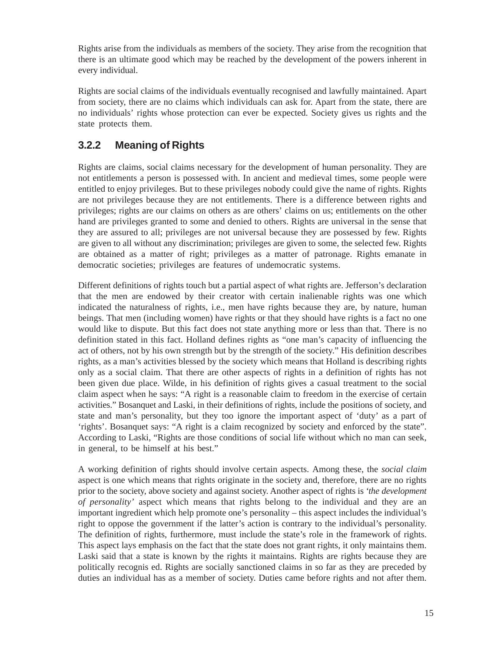Rights arise from the individuals as members of the society. They arise from the recognition that there is an ultimate good which may be reached by the development of the powers inherent in every individual.

Rights are social claims of the individuals eventually recognised and lawfully maintained. Apart from society, there are no claims which individuals can ask for. Apart from the state, there are no individuals' rights whose protection can ever be expected. Society gives us rights and the state protects them.

#### **3.2.2 Meaning of Rights**

Rights are claims, social claims necessary for the development of human personality. They are not entitlements a person is possessed with. In ancient and medieval times, some people were entitled to enjoy privileges. But to these privileges nobody could give the name of rights. Rights are not privileges because they are not entitlements. There is a difference between rights and privileges; rights are our claims on others as are others' claims on us; entitlements on the other hand are privileges granted to some and denied to others. Rights are universal in the sense that they are assured to all; privileges are not universal because they are possessed by few. Rights are given to all without any discrimination; privileges are given to some, the selected few. Rights are obtained as a matter of right; privileges as a matter of patronage. Rights emanate in democratic societies; privileges are features of undemocratic systems.

Different definitions of rights touch but a partial aspect of what rights are. Jefferson's declaration that the men are endowed by their creator with certain inalienable rights was one which indicated the naturalness of rights, i.e., men have rights because they are, by nature, human beings. That men (including women) have rights or that they should have rights is a fact no one would like to dispute. But this fact does not state anything more or less than that. There is no definition stated in this fact. Holland defines rights as "one man's capacity of influencing the act of others, not by his own strength but by the strength of the society." His definition describes rights, as a man's activities blessed by the society which means that Holland is describing rights only as a social claim. That there are other aspects of rights in a definition of rights has not been given due place. Wilde, in his definition of rights gives a casual treatment to the social claim aspect when he says: "A right is a reasonable claim to freedom in the exercise of certain activities." Bosanquet and Laski, in their definitions of rights, include the positions of society, and state and man's personality, but they too ignore the important aspect of 'duty' as a part of 'rights'. Bosanquet says: "A right is a claim recognized by society and enforced by the state". According to Laski, "Rights are those conditions of social life without which no man can seek, in general, to be himself at his best."

A working definition of rights should involve certain aspects. Among these, the *social claim* aspect is one which means that rights originate in the society and, therefore, there are no rights prior to the society, above society and against society. Another aspect of rights is *'the development of personality'* aspect which means that rights belong to the individual and they are an important ingredient which help promote one's personality – this aspect includes the individual's right to oppose the government if the latter's action is contrary to the individual's personality. The definition of rights, furthermore, must include the state's role in the framework of rights. This aspect lays emphasis on the fact that the state does not grant rights, it only maintains them. Laski said that a state is known by the rights it maintains. Rights are rights because they are politically recognis ed. Rights are socially sanctioned claims in so far as they are preceded by duties an individual has as a member of society. Duties came before rights and not after them.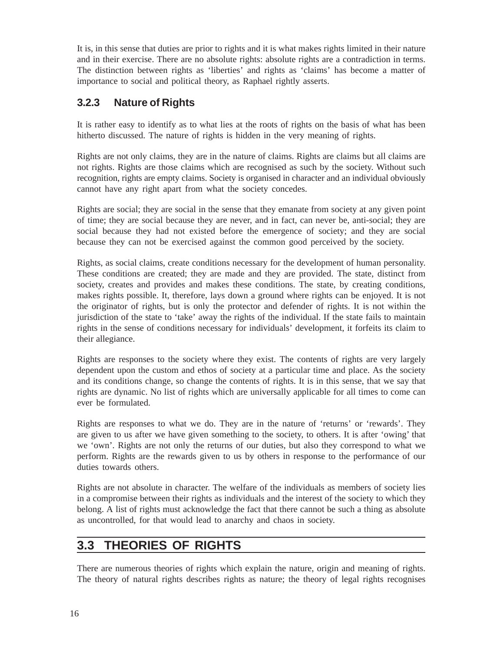It is, in this sense that duties are prior to rights and it is what makes rights limited in their nature and in their exercise. There are no absolute rights: absolute rights are a contradiction in terms. The distinction between rights as 'liberties' and rights as 'claims' has become a matter of importance to social and political theory, as Raphael rightly asserts.

#### **3.2.3 Nature of Rights**

It is rather easy to identify as to what lies at the roots of rights on the basis of what has been hitherto discussed. The nature of rights is hidden in the very meaning of rights.

Rights are not only claims, they are in the nature of claims. Rights are claims but all claims are not rights. Rights are those claims which are recognised as such by the society. Without such recognition, rights are empty claims. Society is organised in character and an individual obviously cannot have any right apart from what the society concedes.

Rights are social; they are social in the sense that they emanate from society at any given point of time; they are social because they are never, and in fact, can never be, anti-social; they are social because they had not existed before the emergence of society; and they are social because they can not be exercised against the common good perceived by the society.

Rights, as social claims, create conditions necessary for the development of human personality. These conditions are created; they are made and they are provided. The state, distinct from society, creates and provides and makes these conditions. The state, by creating conditions, makes rights possible. It, therefore, lays down a ground where rights can be enjoyed. It is not the originator of rights, but is only the protector and defender of rights. It is not within the jurisdiction of the state to 'take' away the rights of the individual. If the state fails to maintain rights in the sense of conditions necessary for individuals' development, it forfeits its claim to their allegiance.

Rights are responses to the society where they exist. The contents of rights are very largely dependent upon the custom and ethos of society at a particular time and place. As the society and its conditions change, so change the contents of rights. It is in this sense, that we say that rights are dynamic. No list of rights which are universally applicable for all times to come can ever be formulated.

Rights are responses to what we do. They are in the nature of 'returns' or 'rewards'. They are given to us after we have given something to the society, to others. It is after 'owing' that we 'own'. Rights are not only the returns of our duties, but also they correspond to what we perform. Rights are the rewards given to us by others in response to the performance of our duties towards others.

Rights are not absolute in character. The welfare of the individuals as members of society lies in a compromise between their rights as individuals and the interest of the society to which they belong. A list of rights must acknowledge the fact that there cannot be such a thing as absolute as uncontrolled, for that would lead to anarchy and chaos in society.

#### **3.3 THEORIES OF RIGHTS**

There are numerous theories of rights which explain the nature, origin and meaning of rights. The theory of natural rights describes rights as nature; the theory of legal rights recognises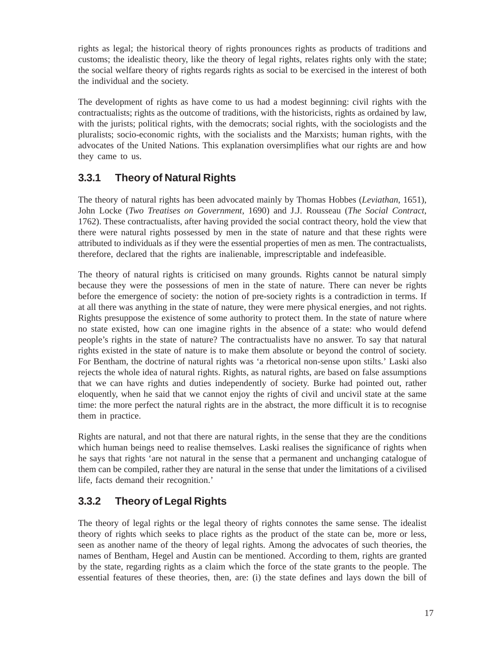rights as legal; the historical theory of rights pronounces rights as products of traditions and customs; the idealistic theory, like the theory of legal rights, relates rights only with the state; the social welfare theory of rights regards rights as social to be exercised in the interest of both the individual and the society.

The development of rights as have come to us had a modest beginning: civil rights with the contractualists; rights as the outcome of traditions, with the historicists, rights as ordained by law, with the jurists; political rights, with the democrats; social rights, with the sociologists and the pluralists; socio-economic rights, with the socialists and the Marxists; human rights, with the advocates of the United Nations. This explanation oversimplifies what our rights are and how they came to us.

#### **3.3.1 Theory of Natural Rights**

The theory of natural rights has been advocated mainly by Thomas Hobbes (*Leviathan*, 1651), John Locke (*Two Treatises on Government*, 1690) and J.J. Rousseau (*The Social Contract*, 1762). These contractualists, after having provided the social contract theory, hold the view that there were natural rights possessed by men in the state of nature and that these rights were attributed to individuals as if they were the essential properties of men as men. The contractualists, therefore, declared that the rights are inalienable, imprescriptable and indefeasible.

The theory of natural rights is criticised on many grounds. Rights cannot be natural simply because they were the possessions of men in the state of nature. There can never be rights before the emergence of society: the notion of pre-society rights is a contradiction in terms. If at all there was anything in the state of nature, they were mere physical energies, and not rights. Rights presuppose the existence of some authority to protect them. In the state of nature where no state existed, how can one imagine rights in the absence of a state: who would defend people's rights in the state of nature? The contractualists have no answer. To say that natural rights existed in the state of nature is to make them absolute or beyond the control of society. For Bentham, the doctrine of natural rights was 'a rhetorical non-sense upon stilts.' Laski also rejects the whole idea of natural rights. Rights, as natural rights, are based on false assumptions that we can have rights and duties independently of society. Burke had pointed out, rather eloquently, when he said that we cannot enjoy the rights of civil and uncivil state at the same time: the more perfect the natural rights are in the abstract, the more difficult it is to recognise them in practice.

Rights are natural, and not that there are natural rights, in the sense that they are the conditions which human beings need to realise themselves. Laski realises the significance of rights when he says that rights 'are not natural in the sense that a permanent and unchanging catalogue of them can be compiled, rather they are natural in the sense that under the limitations of a civilised life, facts demand their recognition.'

### **3.3.2 Theory of Legal Rights**

The theory of legal rights or the legal theory of rights connotes the same sense. The idealist theory of rights which seeks to place rights as the product of the state can be, more or less, seen as another name of the theory of legal rights. Among the advocates of such theories, the names of Bentham, Hegel and Austin can be mentioned. According to them, rights are granted by the state, regarding rights as a claim which the force of the state grants to the people. The essential features of these theories, then, are: (i) the state defines and lays down the bill of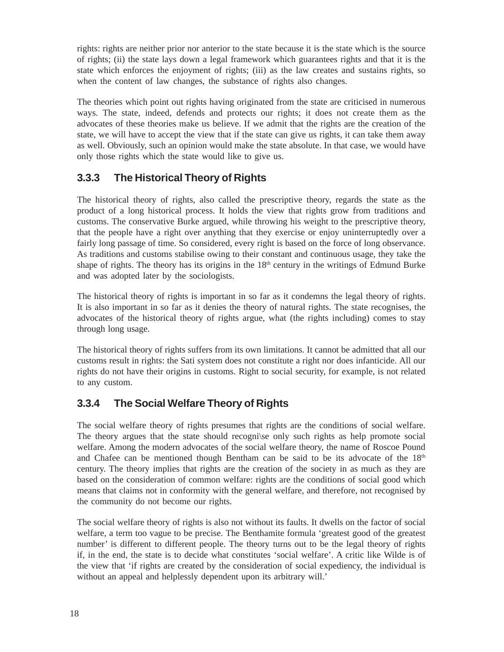rights: rights are neither prior nor anterior to the state because it is the state which is the source of rights; (ii) the state lays down a legal framework which guarantees rights and that it is the state which enforces the enjoyment of rights; (iii) as the law creates and sustains rights, so when the content of law changes, the substance of rights also changes.

The theories which point out rights having originated from the state are criticised in numerous ways. The state, indeed, defends and protects our rights; it does not create them as the advocates of these theories make us believe. If we admit that the rights are the creation of the state, we will have to accept the view that if the state can give us rights, it can take them away as well. Obviously, such an opinion would make the state absolute. In that case, we would have only those rights which the state would like to give us.

#### **3.3.3 The Historical Theory of Rights**

The historical theory of rights, also called the prescriptive theory, regards the state as the product of a long historical process. It holds the view that rights grow from traditions and customs. The conservative Burke argued, while throwing his weight to the prescriptive theory, that the people have a right over anything that they exercise or enjoy uninterruptedly over a fairly long passage of time. So considered, every right is based on the force of long observance. As traditions and customs stabilise owing to their constant and continuous usage, they take the shape of rights. The theory has its origins in the  $18<sup>th</sup>$  century in the writings of Edmund Burke and was adopted later by the sociologists.

The historical theory of rights is important in so far as it condemns the legal theory of rights. It is also important in so far as it denies the theory of natural rights. The state recognises, the advocates of the historical theory of rights argue, what (the rights including) comes to stay through long usage.

The historical theory of rights suffers from its own limitations. It cannot be admitted that all our customs result in rights: the Sati system does not constitute a right nor does infanticide. All our rights do not have their origins in customs. Right to social security, for example, is not related to any custom.

#### **3.3.4 The Social Welfare Theory of Rights**

The social welfare theory of rights presumes that rights are the conditions of social welfare. The theory argues that the state should recogni\se only such rights as help promote social welfare. Among the modern advocates of the social welfare theory, the name of Roscoe Pound and Chafee can be mentioned though Bentham can be said to be its advocate of the 18th century. The theory implies that rights are the creation of the society in as much as they are based on the consideration of common welfare: rights are the conditions of social good which means that claims not in conformity with the general welfare, and therefore, not recognised by the community do not become our rights.

The social welfare theory of rights is also not without its faults. It dwells on the factor of social welfare, a term too vague to be precise. The Benthamite formula 'greatest good of the greatest number' is different to different people. The theory turns out to be the legal theory of rights if, in the end, the state is to decide what constitutes 'social welfare'. A critic like Wilde is of the view that 'if rights are created by the consideration of social expediency, the individual is without an appeal and helplessly dependent upon its arbitrary will.'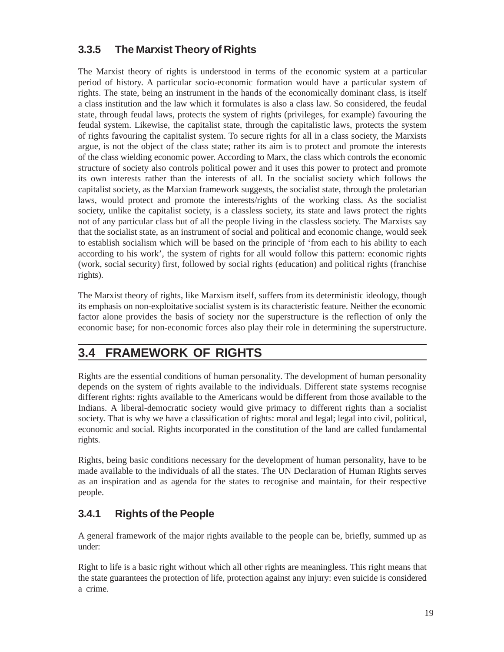#### **3.3.5 The Marxist Theory of Rights**

The Marxist theory of rights is understood in terms of the economic system at a particular period of history. A particular socio-economic formation would have a particular system of rights. The state, being an instrument in the hands of the economically dominant class, is itself a class institution and the law which it formulates is also a class law. So considered, the feudal state, through feudal laws, protects the system of rights (privileges, for example) favouring the feudal system. Likewise, the capitalist state, through the capitalistic laws, protects the system of rights favouring the capitalist system. To secure rights for all in a class society, the Marxists argue, is not the object of the class state; rather its aim is to protect and promote the interests of the class wielding economic power. According to Marx, the class which controls the economic structure of society also controls political power and it uses this power to protect and promote its own interests rather than the interests of all. In the socialist society which follows the capitalist society, as the Marxian framework suggests, the socialist state, through the proletarian laws, would protect and promote the interests/rights of the working class. As the socialist society, unlike the capitalist society, is a classless society, its state and laws protect the rights not of any particular class but of all the people living in the classless society. The Marxists say that the socialist state, as an instrument of social and political and economic change, would seek to establish socialism which will be based on the principle of 'from each to his ability to each according to his work', the system of rights for all would follow this pattern: economic rights (work, social security) first, followed by social rights (education) and political rights (franchise rights).

The Marxist theory of rights, like Marxism itself, suffers from its deterministic ideology, though its emphasis on non-exploitative socialist system is its characteristic feature. Neither the economic factor alone provides the basis of society nor the superstructure is the reflection of only the economic base; for non-economic forces also play their role in determining the superstructure.

## **3.4 FRAMEWORK OF RIGHTS**

Rights are the essential conditions of human personality. The development of human personality depends on the system of rights available to the individuals. Different state systems recognise different rights: rights available to the Americans would be different from those available to the Indians. A liberal-democratic society would give primacy to different rights than a socialist society. That is why we have a classification of rights: moral and legal; legal into civil, political, economic and social. Rights incorporated in the constitution of the land are called fundamental rights.

Rights, being basic conditions necessary for the development of human personality, have to be made available to the individuals of all the states. The UN Declaration of Human Rights serves as an inspiration and as agenda for the states to recognise and maintain, for their respective people.

#### **3.4.1 Rights of the People**

A general framework of the major rights available to the people can be, briefly, summed up as under:

Right to life is a basic right without which all other rights are meaningless. This right means that the state guarantees the protection of life, protection against any injury: even suicide is considered a crime.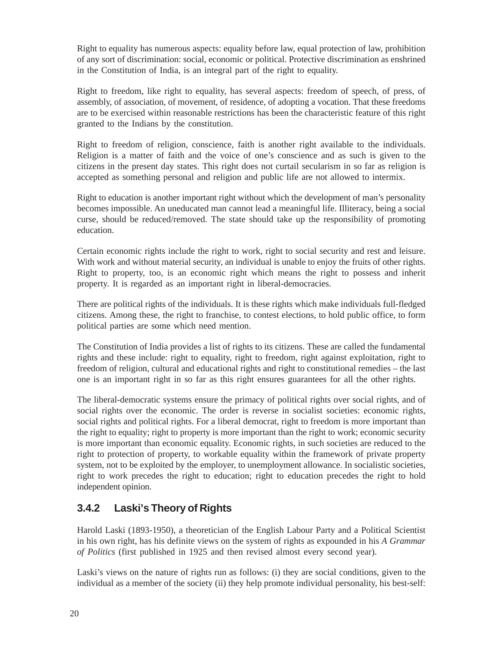Right to equality has numerous aspects: equality before law, equal protection of law, prohibition of any sort of discrimination: social, economic or political. Protective discrimination as enshrined in the Constitution of India, is an integral part of the right to equality.

Right to freedom, like right to equality, has several aspects: freedom of speech, of press, of assembly, of association, of movement, of residence, of adopting a vocation. That these freedoms are to be exercised within reasonable restrictions has been the characteristic feature of this right granted to the Indians by the constitution.

Right to freedom of religion, conscience, faith is another right available to the individuals. Religion is a matter of faith and the voice of one's conscience and as such is given to the citizens in the present day states. This right does not curtail secularism in so far as religion is accepted as something personal and religion and public life are not allowed to intermix.

Right to education is another important right without which the development of man's personality becomes impossible. An uneducated man cannot lead a meaningful life. Illiteracy, being a social curse, should be reduced/removed. The state should take up the responsibility of promoting education.

Certain economic rights include the right to work, right to social security and rest and leisure. With work and without material security, an individual is unable to enjoy the fruits of other rights. Right to property, too, is an economic right which means the right to possess and inherit property. It is regarded as an important right in liberal-democracies.

There are political rights of the individuals. It is these rights which make individuals full-fledged citizens. Among these, the right to franchise, to contest elections, to hold public office, to form political parties are some which need mention.

The Constitution of India provides a list of rights to its citizens. These are called the fundamental rights and these include: right to equality, right to freedom, right against exploitation, right to freedom of religion, cultural and educational rights and right to constitutional remedies – the last one is an important right in so far as this right ensures guarantees for all the other rights.

The liberal-democratic systems ensure the primacy of political rights over social rights, and of social rights over the economic. The order is reverse in socialist societies: economic rights, social rights and political rights. For a liberal democrat, right to freedom is more important than the right to equality; right to property is more important than the right to work; economic security is more important than economic equality. Economic rights, in such societies are reduced to the right to protection of property, to workable equality within the framework of private property system, not to be exploited by the employer, to unemployment allowance. In socialistic societies, right to work precedes the right to education; right to education precedes the right to hold independent opinion.

#### **3.4.2 Laski's Theory of Rights**

Harold Laski (1893-1950), a theoretician of the English Labour Party and a Political Scientist in his own right, has his definite views on the system of rights as expounded in his *A Grammar of Politics* (first published in 1925 and then revised almost every second year).

Laski's views on the nature of rights run as follows: (i) they are social conditions, given to the individual as a member of the society (ii) they help promote individual personality, his best-self: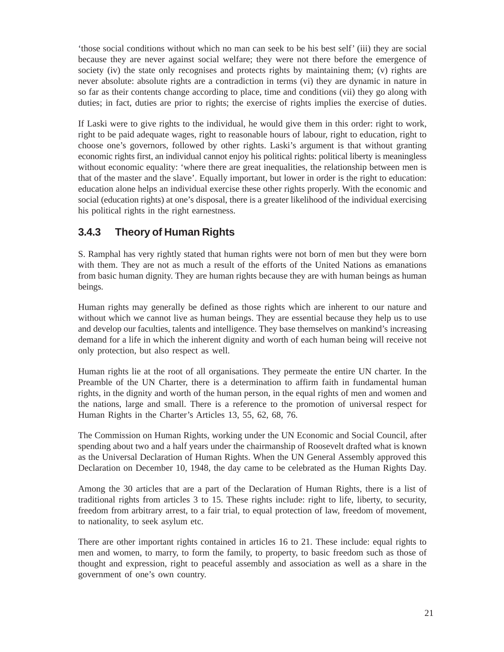'those social conditions without which no man can seek to be his best self' (iii) they are social because they are never against social welfare; they were not there before the emergence of society (iv) the state only recognises and protects rights by maintaining them; (v) rights are never absolute: absolute rights are a contradiction in terms (vi) they are dynamic in nature in so far as their contents change according to place, time and conditions (vii) they go along with duties; in fact, duties are prior to rights; the exercise of rights implies the exercise of duties.

If Laski were to give rights to the individual, he would give them in this order: right to work, right to be paid adequate wages, right to reasonable hours of labour, right to education, right to choose one's governors, followed by other rights. Laski's argument is that without granting economic rights first, an individual cannot enjoy his political rights: political liberty is meaningless without economic equality: 'where there are great inequalities, the relationship between men is that of the master and the slave'. Equally important, but lower in order is the right to education: education alone helps an individual exercise these other rights properly. With the economic and social (education rights) at one's disposal, there is a greater likelihood of the individual exercising his political rights in the right earnestness.

### **3.4.3 Theory of Human Rights**

S. Ramphal has very rightly stated that human rights were not born of men but they were born with them. They are not as much a result of the efforts of the United Nations as emanations from basic human dignity. They are human rights because they are with human beings as human beings.

Human rights may generally be defined as those rights which are inherent to our nature and without which we cannot live as human beings. They are essential because they help us to use and develop our faculties, talents and intelligence. They base themselves on mankind's increasing demand for a life in which the inherent dignity and worth of each human being will receive not only protection, but also respect as well.

Human rights lie at the root of all organisations. They permeate the entire UN charter. In the Preamble of the UN Charter, there is a determination to affirm faith in fundamental human rights, in the dignity and worth of the human person, in the equal rights of men and women and the nations, large and small. There is a reference to the promotion of universal respect for Human Rights in the Charter's Articles 13, 55, 62, 68, 76.

The Commission on Human Rights, working under the UN Economic and Social Council, after spending about two and a half years under the chairmanship of Roosevelt drafted what is known as the Universal Declaration of Human Rights. When the UN General Assembly approved this Declaration on December 10, 1948, the day came to be celebrated as the Human Rights Day.

Among the 30 articles that are a part of the Declaration of Human Rights, there is a list of traditional rights from articles 3 to 15. These rights include: right to life, liberty, to security, freedom from arbitrary arrest, to a fair trial, to equal protection of law, freedom of movement, to nationality, to seek asylum etc.

There are other important rights contained in articles 16 to 21. These include: equal rights to men and women, to marry, to form the family, to property, to basic freedom such as those of thought and expression, right to peaceful assembly and association as well as a share in the government of one's own country.